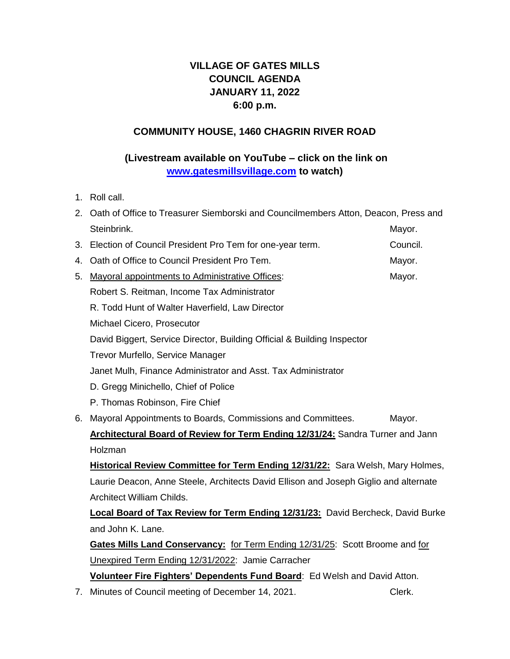# **VILLAGE OF GATES MILLS COUNCIL AGENDA JANUARY 11, 2022 6:00 p.m.**

#### **COMMUNITY HOUSE, 1460 CHAGRIN RIVER ROAD**

## **(Livestream available on YouTube – click on the link on [www.gatesmillsvillage.com](http://www.gatesmillsvillage.com/) to watch)**

1. Roll call.

|    | 2. Oath of Office to Treasurer Siemborski and Councilmembers Atton, Deacon, Press and  |          |  |
|----|----------------------------------------------------------------------------------------|----------|--|
|    | Steinbrink.                                                                            | Mayor.   |  |
| 3. | Election of Council President Pro Tem for one-year term.                               | Council. |  |
| 4. | Oath of Office to Council President Pro Tem.                                           | Mayor.   |  |
| 5. | Mayoral appointments to Administrative Offices:                                        | Mayor.   |  |
|    | Robert S. Reitman, Income Tax Administrator                                            |          |  |
|    | R. Todd Hunt of Walter Haverfield, Law Director                                        |          |  |
|    | Michael Cicero, Prosecutor                                                             |          |  |
|    | David Biggert, Service Director, Building Official & Building Inspector                |          |  |
|    | Trevor Murfello, Service Manager                                                       |          |  |
|    | Janet Mulh, Finance Administrator and Asst. Tax Administrator                          |          |  |
|    | D. Gregg Minichello, Chief of Police                                                   |          |  |
|    | P. Thomas Robinson, Fire Chief                                                         |          |  |
| 6. | Mayoral Appointments to Boards, Commissions and Committees.                            | Mayor.   |  |
|    | Architectural Board of Review for Term Ending 12/31/24: Sandra Turner and Jann         |          |  |
|    | Holzman                                                                                |          |  |
|    | Historical Review Committee for Term Ending 12/31/22: Sara Welsh, Mary Holmes,         |          |  |
|    | Laurie Deacon, Anne Steele, Architects David Ellison and Joseph Giglio and alternate   |          |  |
|    | Architect William Childs.                                                              |          |  |
|    | <b>Local Board of Tax Review for Term Ending 12/31/23:</b> David Bercheck, David Burke |          |  |
|    | and John K. Lane.                                                                      |          |  |
|    | Gates Mills Land Conservancy: for Term Ending 12/31/25: Scott Broome and for           |          |  |
|    | Unexpired Term Ending 12/31/2022: Jamie Carracher                                      |          |  |
|    | Volunteer Fire Fighters' Dependents Fund Board: Ed Welsh and David Atton.              |          |  |
|    | 7. Minutes of Council meeting of December 14, 2021.                                    | Clerk.   |  |